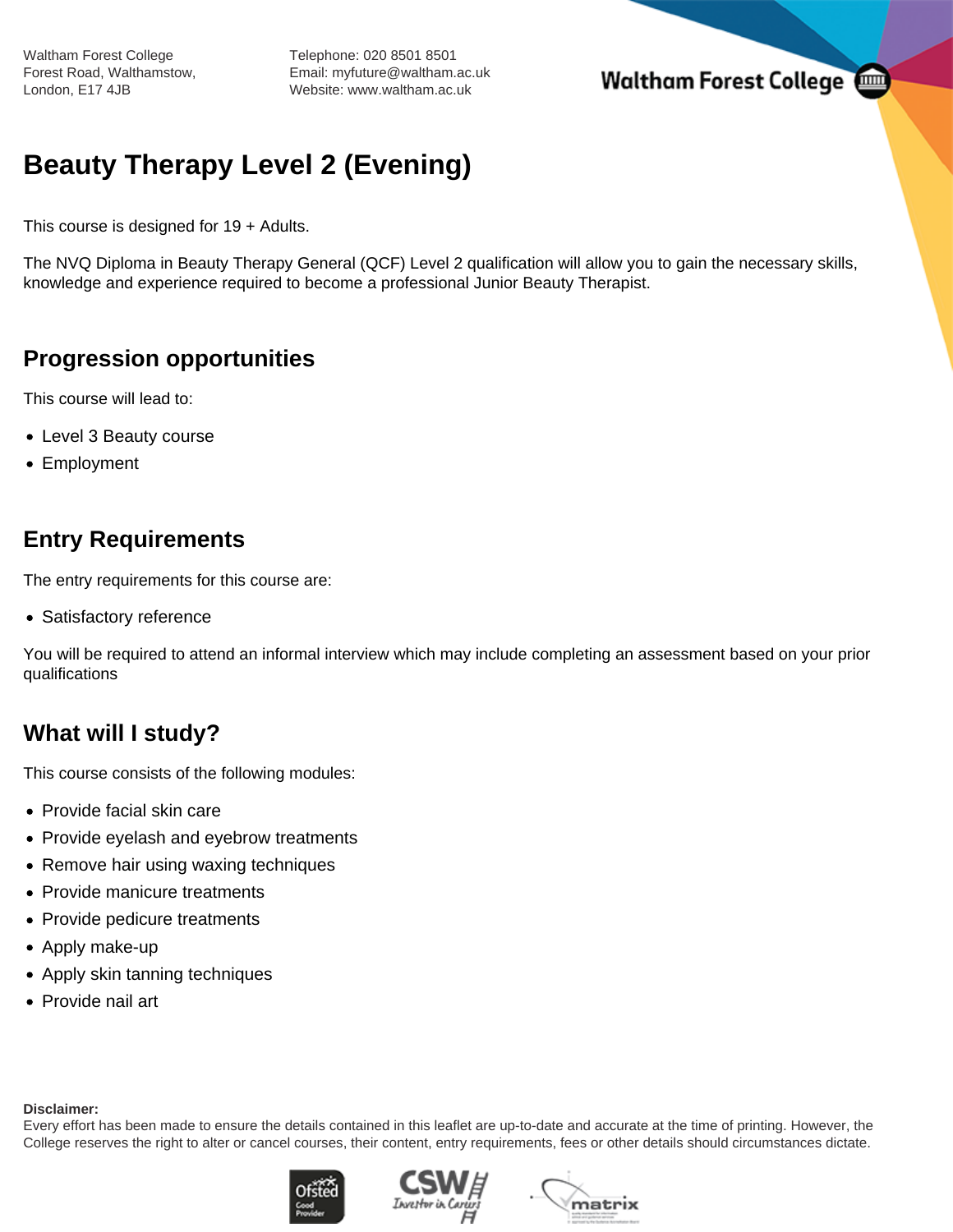Waltham Forest College Forest Road, Walthamstow, London, E17 4JB

Telephone: 020 8501 8501 Email: myfuture@waltham.ac.uk Website: www.waltham.ac.uk

**Waltham Forest College** 

# **Beauty Therapy Level 2 (Evening)**

This course is designed for 19 + Adults.

The NVQ Diploma in Beauty Therapy General (QCF) Level 2 qualification will allow you to gain the necessary skills, knowledge and experience required to become a professional Junior Beauty Therapist.

## **Progression opportunities**

This course will lead to:

- Level 3 Beauty course
- Employment

## **Entry Requirements**

The entry requirements for this course are:

• Satisfactory reference

You will be required to attend an informal interview which may include completing an assessment based on your prior qualifications

## **What will I study?**

This course consists of the following modules:

- Provide facial skin care
- Provide eyelash and eyebrow treatments
- Remove hair using waxing techniques
- Provide manicure treatments
- Provide pedicure treatments
- Apply make-up
- Apply skin tanning techniques
- Provide nail art

#### **Disclaimer:**

Every effort has been made to ensure the details contained in this leaflet are up-to-date and accurate at the time of printing. However, the College reserves the right to alter or cancel courses, their content, entry requirements, fees or other details should circumstances dictate.